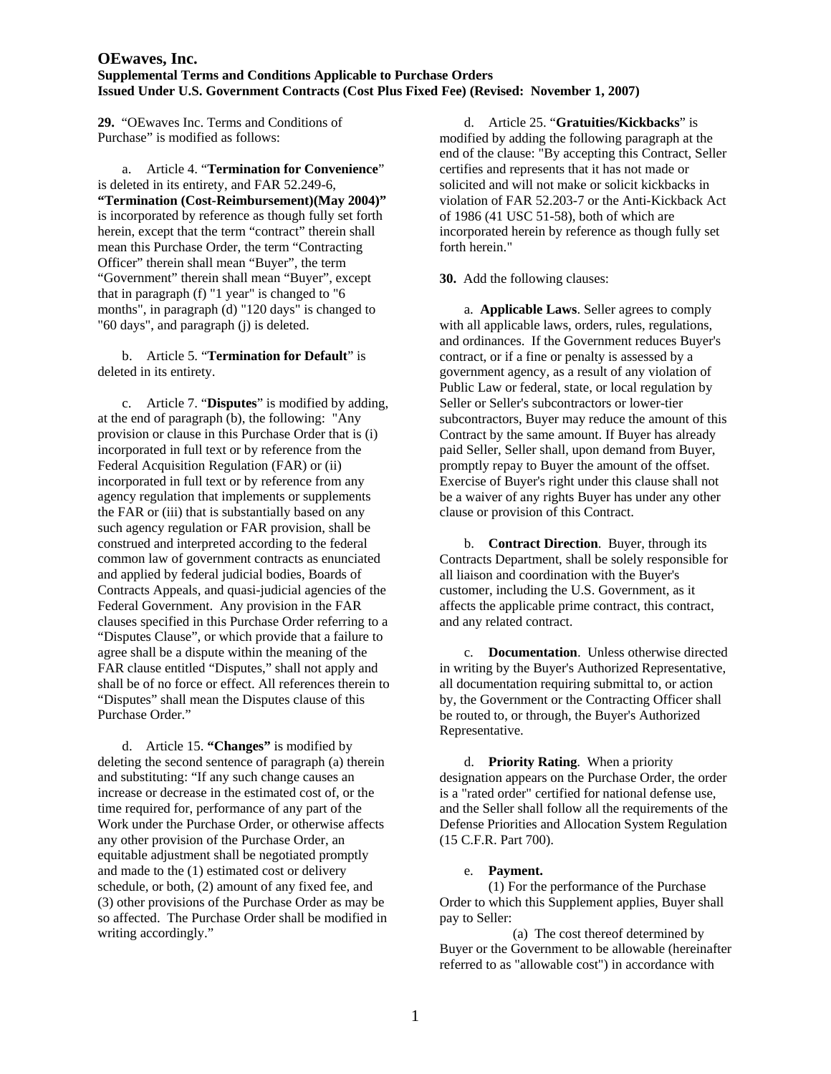**29.** "OEwaves Inc. Terms and Conditions of Purchase" is modified as follows:

 a. Article 4. "**Termination for Convenience**" is deleted in its entirety, and FAR 52.249-6, **"Termination (Cost-Reimbursement)(May 2004)"** is incorporated by reference as though fully set forth herein, except that the term "contract" therein shall mean this Purchase Order, the term "Contracting Officer" therein shall mean "Buyer", the term "Government" therein shall mean "Buyer", except that in paragraph (f) "1 year" is changed to "6 months", in paragraph (d) "120 days" is changed to "60 days", and paragraph (j) is deleted.

 b. Article 5. "**Termination for Default**" is deleted in its entirety.

 c. Article 7. "**Disputes**" is modified by adding, at the end of paragraph (b), the following: "Any provision or clause in this Purchase Order that is (i) incorporated in full text or by reference from the Federal Acquisition Regulation (FAR) or (ii) incorporated in full text or by reference from any agency regulation that implements or supplements the FAR or (iii) that is substantially based on any such agency regulation or FAR provision, shall be construed and interpreted according to the federal common law of government contracts as enunciated and applied by federal judicial bodies, Boards of Contracts Appeals, and quasi-judicial agencies of the Federal Government. Any provision in the FAR clauses specified in this Purchase Order referring to a "Disputes Clause", or which provide that a failure to agree shall be a dispute within the meaning of the FAR clause entitled "Disputes," shall not apply and shall be of no force or effect. All references therein to "Disputes" shall mean the Disputes clause of this Purchase Order."

 d. Article 15. **"Changes"** is modified by deleting the second sentence of paragraph (a) therein and substituting: "If any such change causes an increase or decrease in the estimated cost of, or the time required for, performance of any part of the Work under the Purchase Order, or otherwise affects any other provision of the Purchase Order, an equitable adjustment shall be negotiated promptly and made to the (1) estimated cost or delivery schedule, or both, (2) amount of any fixed fee, and (3) other provisions of the Purchase Order as may be so affected. The Purchase Order shall be modified in writing accordingly."

 d. Article 25. "**Gratuities/Kickbacks**" is modified by adding the following paragraph at the end of the clause: "By accepting this Contract, Seller certifies and represents that it has not made or solicited and will not make or solicit kickbacks in violation of FAR 52.203-7 or the Anti-Kickback Act of 1986 (41 USC 51-58), both of which are incorporated herein by reference as though fully set forth herein."

**30.** Add the following clauses:

 a. **Applicable Laws**. Seller agrees to comply with all applicable laws, orders, rules, regulations, and ordinances. If the Government reduces Buyer's contract, or if a fine or penalty is assessed by a government agency, as a result of any violation of Public Law or federal, state, or local regulation by Seller or Seller's subcontractors or lower-tier subcontractors, Buyer may reduce the amount of this Contract by the same amount. If Buyer has already paid Seller, Seller shall, upon demand from Buyer, promptly repay to Buyer the amount of the offset. Exercise of Buyer's right under this clause shall not be a waiver of any rights Buyer has under any other clause or provision of this Contract.

 b. **Contract Direction**. Buyer, through its Contracts Department, shall be solely responsible for all liaison and coordination with the Buyer's customer, including the U.S. Government, as it affects the applicable prime contract, this contract, and any related contract.

 c. **Documentation**. Unless otherwise directed in writing by the Buyer's Authorized Representative, all documentation requiring submittal to, or action by, the Government or the Contracting Officer shall be routed to, or through, the Buyer's Authorized Representative.

 d. **Priority Rating**. When a priority designation appears on the Purchase Order, the order is a "rated order" certified for national defense use, and the Seller shall follow all the requirements of the Defense Priorities and Allocation System Regulation (15 C.F.R. Part 700).

#### e. **Payment.**

 (1) For the performance of the Purchase Order to which this Supplement applies, Buyer shall pay to Seller:

 (a) The cost thereof determined by Buyer or the Government to be allowable (hereinafter referred to as "allowable cost") in accordance with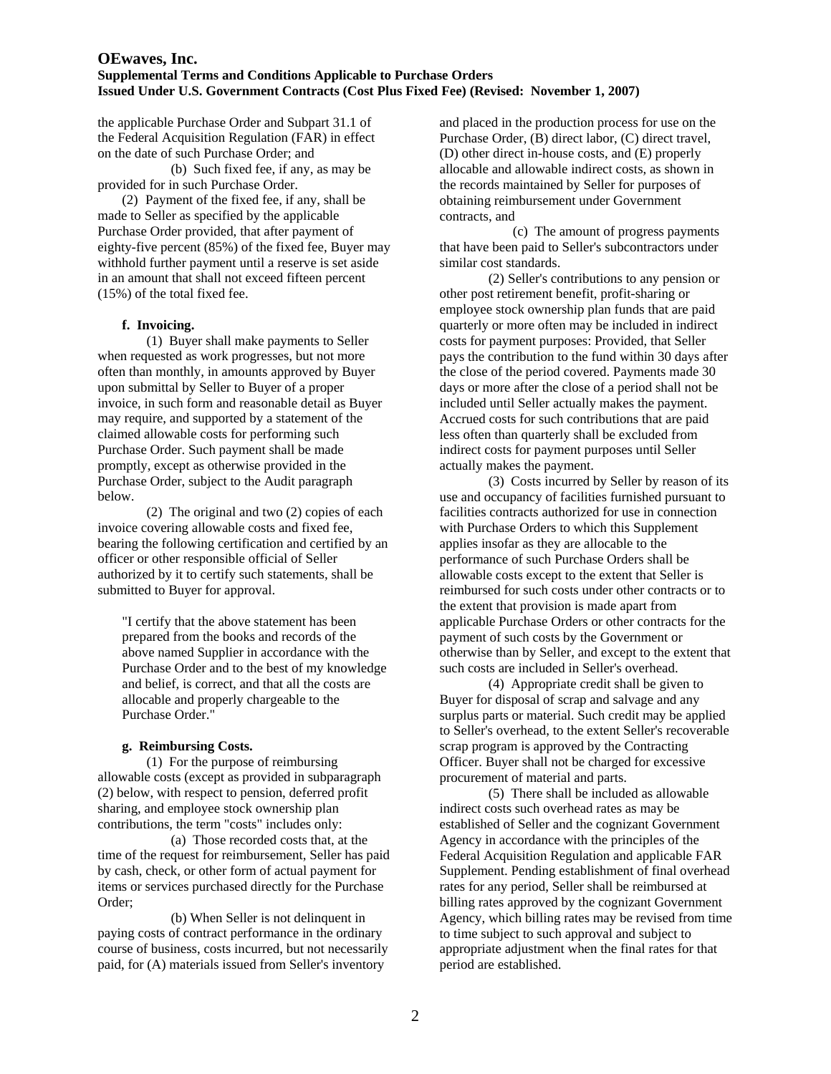the applicable Purchase Order and Subpart 31.1 of the Federal Acquisition Regulation (FAR) in effect on the date of such Purchase Order; and

 (b) Such fixed fee, if any, as may be provided for in such Purchase Order.

 (2) Payment of the fixed fee, if any, shall be made to Seller as specified by the applicable Purchase Order provided, that after payment of eighty-five percent (85%) of the fixed fee, Buyer may withhold further payment until a reserve is set aside in an amount that shall not exceed fifteen percent (15%) of the total fixed fee.

#### **f. Invoicing.**

 (1) Buyer shall make payments to Seller when requested as work progresses, but not more often than monthly, in amounts approved by Buyer upon submittal by Seller to Buyer of a proper invoice, in such form and reasonable detail as Buyer may require, and supported by a statement of the claimed allowable costs for performing such Purchase Order. Such payment shall be made promptly, except as otherwise provided in the Purchase Order, subject to the Audit paragraph below.

 (2) The original and two (2) copies of each invoice covering allowable costs and fixed fee, bearing the following certification and certified by an officer or other responsible official of Seller authorized by it to certify such statements, shall be submitted to Buyer for approval.

"I certify that the above statement has been prepared from the books and records of the above named Supplier in accordance with the Purchase Order and to the best of my knowledge and belief, is correct, and that all the costs are allocable and properly chargeable to the Purchase Order."

## **g. Reimbursing Costs.**

(1) For the purpose of reimbursing allowable costs (except as provided in subparagraph (2) below, with respect to pension, deferred profit sharing, and employee stock ownership plan contributions, the term "costs" includes only:

 (a) Those recorded costs that, at the time of the request for reimbursement, Seller has paid by cash, check, or other form of actual payment for items or services purchased directly for the Purchase Order;

 (b) When Seller is not delinquent in paying costs of contract performance in the ordinary course of business, costs incurred, but not necessarily paid, for (A) materials issued from Seller's inventory

and placed in the production process for use on the Purchase Order, (B) direct labor, (C) direct travel, (D) other direct in-house costs, and (E) properly allocable and allowable indirect costs, as shown in the records maintained by Seller for purposes of obtaining reimbursement under Government contracts, and

 (c) The amount of progress payments that have been paid to Seller's subcontractors under similar cost standards.

 (2) Seller's contributions to any pension or other post retirement benefit, profit-sharing or employee stock ownership plan funds that are paid quarterly or more often may be included in indirect costs for payment purposes: Provided, that Seller pays the contribution to the fund within 30 days after the close of the period covered. Payments made 30 days or more after the close of a period shall not be included until Seller actually makes the payment. Accrued costs for such contributions that are paid less often than quarterly shall be excluded from indirect costs for payment purposes until Seller actually makes the payment.

 (3) Costs incurred by Seller by reason of its use and occupancy of facilities furnished pursuant to facilities contracts authorized for use in connection with Purchase Orders to which this Supplement applies insofar as they are allocable to the performance of such Purchase Orders shall be allowable costs except to the extent that Seller is reimbursed for such costs under other contracts or to the extent that provision is made apart from applicable Purchase Orders or other contracts for the payment of such costs by the Government or otherwise than by Seller, and except to the extent that such costs are included in Seller's overhead.

 (4) Appropriate credit shall be given to Buyer for disposal of scrap and salvage and any surplus parts or material. Such credit may be applied to Seller's overhead, to the extent Seller's recoverable scrap program is approved by the Contracting Officer. Buyer shall not be charged for excessive procurement of material and parts.

 (5) There shall be included as allowable indirect costs such overhead rates as may be established of Seller and the cognizant Government Agency in accordance with the principles of the Federal Acquisition Regulation and applicable FAR Supplement. Pending establishment of final overhead rates for any period, Seller shall be reimbursed at billing rates approved by the cognizant Government Agency, which billing rates may be revised from time to time subject to such approval and subject to appropriate adjustment when the final rates for that period are established.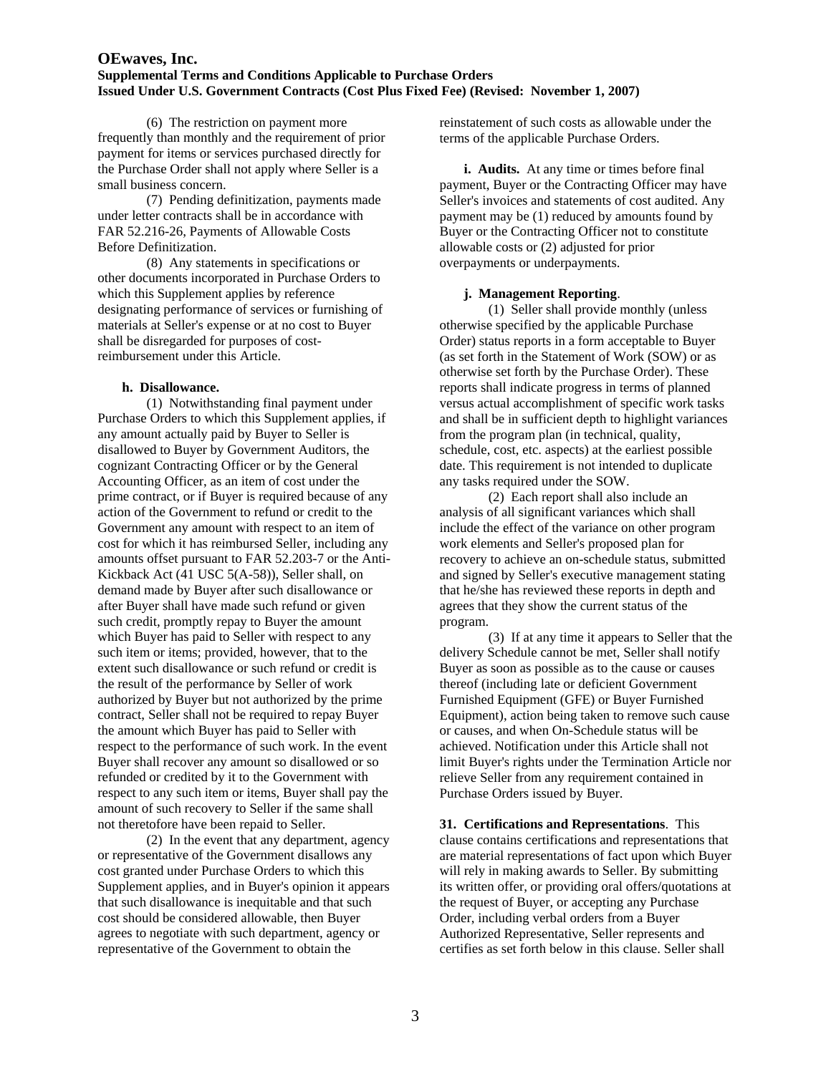(6) The restriction on payment more frequently than monthly and the requirement of prior payment for items or services purchased directly for the Purchase Order shall not apply where Seller is a small business concern.

 (7) Pending definitization, payments made under letter contracts shall be in accordance with FAR 52.216-26, Payments of Allowable Costs Before Definitization.

 (8) Any statements in specifications or other documents incorporated in Purchase Orders to which this Supplement applies by reference designating performance of services or furnishing of materials at Seller's expense or at no cost to Buyer shall be disregarded for purposes of costreimbursement under this Article.

#### **h. Disallowance.**

(1) Notwithstanding final payment under Purchase Orders to which this Supplement applies, if any amount actually paid by Buyer to Seller is disallowed to Buyer by Government Auditors, the cognizant Contracting Officer or by the General Accounting Officer, as an item of cost under the prime contract, or if Buyer is required because of any action of the Government to refund or credit to the Government any amount with respect to an item of cost for which it has reimbursed Seller, including any amounts offset pursuant to FAR 52.203-7 or the Anti-Kickback Act (41 USC 5(A-58)), Seller shall, on demand made by Buyer after such disallowance or after Buyer shall have made such refund or given such credit, promptly repay to Buyer the amount which Buyer has paid to Seller with respect to any such item or items; provided, however, that to the extent such disallowance or such refund or credit is the result of the performance by Seller of work authorized by Buyer but not authorized by the prime contract, Seller shall not be required to repay Buyer the amount which Buyer has paid to Seller with respect to the performance of such work. In the event Buyer shall recover any amount so disallowed or so refunded or credited by it to the Government with respect to any such item or items, Buyer shall pay the amount of such recovery to Seller if the same shall not theretofore have been repaid to Seller.

 (2) In the event that any department, agency or representative of the Government disallows any cost granted under Purchase Orders to which this Supplement applies, and in Buyer's opinion it appears that such disallowance is inequitable and that such cost should be considered allowable, then Buyer agrees to negotiate with such department, agency or representative of the Government to obtain the

reinstatement of such costs as allowable under the terms of the applicable Purchase Orders.

**i. Audits.** At any time or times before final payment, Buyer or the Contracting Officer may have Seller's invoices and statements of cost audited. Any payment may be (1) reduced by amounts found by Buyer or the Contracting Officer not to constitute allowable costs or (2) adjusted for prior overpayments or underpayments.

## **j. Management Reporting**.

 (1) Seller shall provide monthly (unless otherwise specified by the applicable Purchase Order) status reports in a form acceptable to Buyer (as set forth in the Statement of Work (SOW) or as otherwise set forth by the Purchase Order). These reports shall indicate progress in terms of planned versus actual accomplishment of specific work tasks and shall be in sufficient depth to highlight variances from the program plan (in technical, quality, schedule, cost, etc. aspects) at the earliest possible date. This requirement is not intended to duplicate any tasks required under the SOW.

 (2) Each report shall also include an analysis of all significant variances which shall include the effect of the variance on other program work elements and Seller's proposed plan for recovery to achieve an on-schedule status, submitted and signed by Seller's executive management stating that he/she has reviewed these reports in depth and agrees that they show the current status of the program.

 (3) If at any time it appears to Seller that the delivery Schedule cannot be met, Seller shall notify Buyer as soon as possible as to the cause or causes thereof (including late or deficient Government Furnished Equipment (GFE) or Buyer Furnished Equipment), action being taken to remove such cause or causes, and when On-Schedule status will be achieved. Notification under this Article shall not limit Buyer's rights under the Termination Article nor relieve Seller from any requirement contained in Purchase Orders issued by Buyer.

**31. Certifications and Representations**. This clause contains certifications and representations that are material representations of fact upon which Buyer will rely in making awards to Seller. By submitting its written offer, or providing oral offers/quotations at the request of Buyer, or accepting any Purchase Order, including verbal orders from a Buyer Authorized Representative, Seller represents and certifies as set forth below in this clause. Seller shall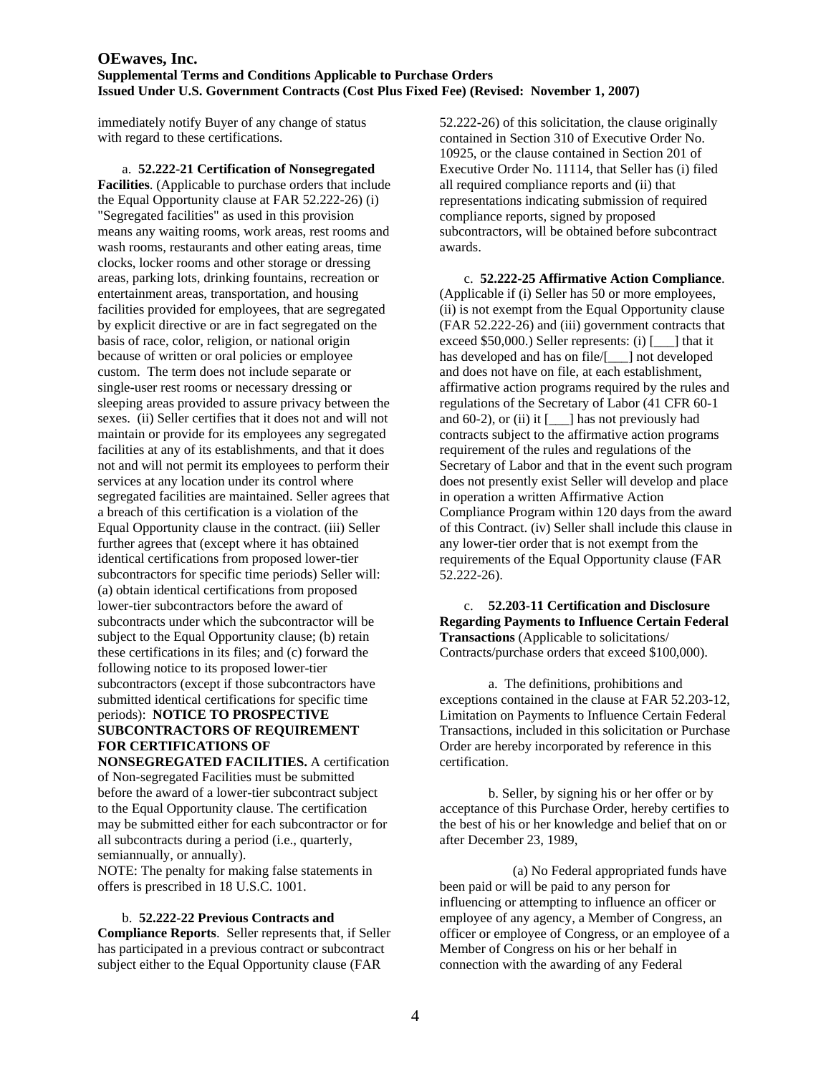immediately notify Buyer of any change of status with regard to these certifications.

 a. **52.222-21 Certification of Nonsegregated Facilities**. (Applicable to purchase orders that include the Equal Opportunity clause at FAR 52.222-26) (i) "Segregated facilities" as used in this provision means any waiting rooms, work areas, rest rooms and wash rooms, restaurants and other eating areas, time clocks, locker rooms and other storage or dressing areas, parking lots, drinking fountains, recreation or entertainment areas, transportation, and housing facilities provided for employees, that are segregated by explicit directive or are in fact segregated on the basis of race, color, religion, or national origin because of written or oral policies or employee custom. The term does not include separate or single-user rest rooms or necessary dressing or sleeping areas provided to assure privacy between the sexes. (ii) Seller certifies that it does not and will not maintain or provide for its employees any segregated facilities at any of its establishments, and that it does not and will not permit its employees to perform their services at any location under its control where segregated facilities are maintained. Seller agrees that a breach of this certification is a violation of the Equal Opportunity clause in the contract. (iii) Seller further agrees that (except where it has obtained identical certifications from proposed lower-tier subcontractors for specific time periods) Seller will: (a) obtain identical certifications from proposed lower-tier subcontractors before the award of subcontracts under which the subcontractor will be subject to the Equal Opportunity clause; (b) retain these certifications in its files; and (c) forward the following notice to its proposed lower-tier subcontractors (except if those subcontractors have submitted identical certifications for specific time periods): **NOTICE TO PROSPECTIVE SUBCONTRACTORS OF REQUIREMENT FOR CERTIFICATIONS OF NONSEGREGATED FACILITIES.** A certification

of Non-segregated Facilities must be submitted before the award of a lower-tier subcontract subject to the Equal Opportunity clause. The certification may be submitted either for each subcontractor or for all subcontracts during a period (i.e., quarterly, semiannually, or annually).

NOTE: The penalty for making false statements in offers is prescribed in 18 U.S.C. 1001.

#### b. **52.222-22 Previous Contracts and**

**Compliance Reports**. Seller represents that, if Seller has participated in a previous contract or subcontract subject either to the Equal Opportunity clause (FAR

52.222-26) of this solicitation, the clause originally contained in Section 310 of Executive Order No. 10925, or the clause contained in Section 201 of Executive Order No. 11114, that Seller has (i) filed all required compliance reports and (ii) that representations indicating submission of required compliance reports, signed by proposed subcontractors, will be obtained before subcontract awards.

 c. **52.222-25 Affirmative Action Compliance**. (Applicable if (i) Seller has 50 or more employees, (ii) is not exempt from the Equal Opportunity clause (FAR 52.222-26) and (iii) government contracts that exceed \$50,000.) Seller represents: (i) [\_\_\_] that it has developed and has on file/[  $\Box$ ] not developed and does not have on file, at each establishment, affirmative action programs required by the rules and regulations of the Secretary of Labor (41 CFR 60-1 and  $60-2$ ), or (ii) it  $[\_\_\]$  has not previously had contracts subject to the affirmative action programs requirement of the rules and regulations of the Secretary of Labor and that in the event such program does not presently exist Seller will develop and place in operation a written Affirmative Action Compliance Program within 120 days from the award of this Contract. (iv) Seller shall include this clause in any lower-tier order that is not exempt from the requirements of the Equal Opportunity clause (FAR 52.222-26).

 c. **52.203-11 Certification and Disclosure Regarding Payments to Influence Certain Federal Transactions** (Applicable to solicitations/ Contracts/purchase orders that exceed \$100,000).

 a. The definitions, prohibitions and exceptions contained in the clause at FAR 52.203-12, Limitation on Payments to Influence Certain Federal Transactions, included in this solicitation or Purchase Order are hereby incorporated by reference in this certification.

 b. Seller, by signing his or her offer or by acceptance of this Purchase Order, hereby certifies to the best of his or her knowledge and belief that on or after December 23, 1989,

 (a) No Federal appropriated funds have been paid or will be paid to any person for influencing or attempting to influence an officer or employee of any agency, a Member of Congress, an officer or employee of Congress, or an employee of a Member of Congress on his or her behalf in connection with the awarding of any Federal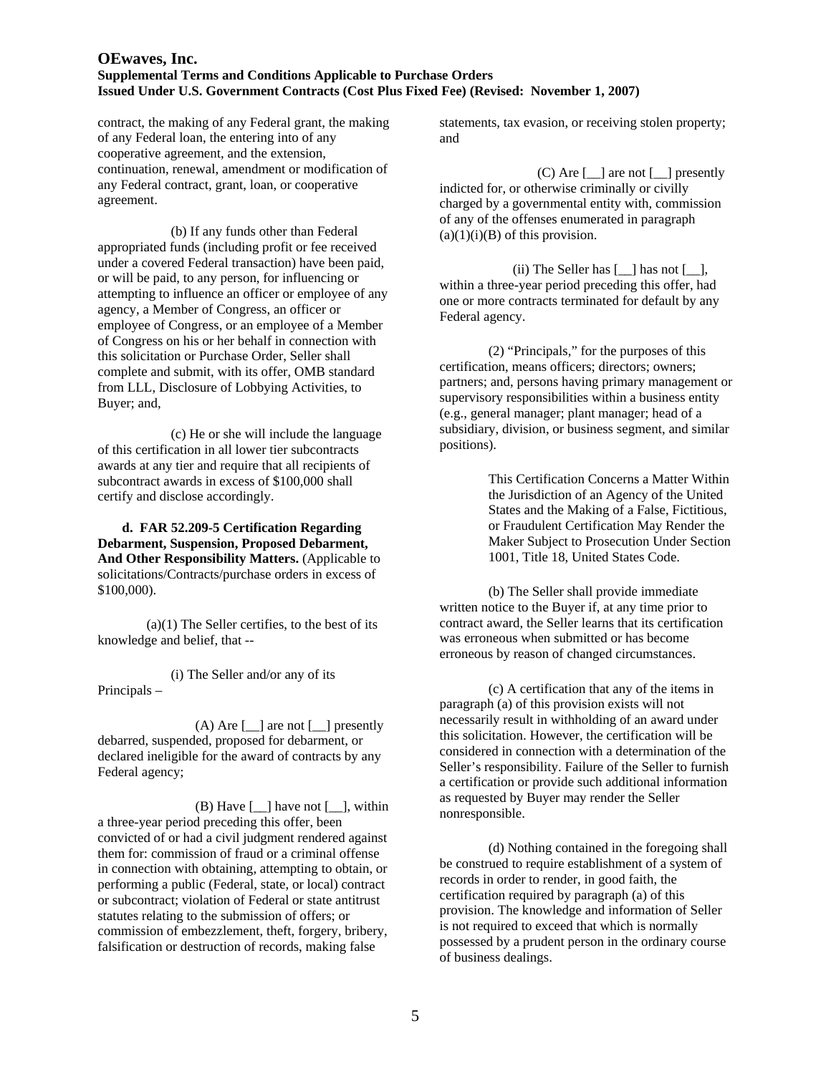contract, the making of any Federal grant, the making of any Federal loan, the entering into of any cooperative agreement, and the extension, continuation, renewal, amendment or modification of any Federal contract, grant, loan, or cooperative agreement.

 (b) If any funds other than Federal appropriated funds (including profit or fee received under a covered Federal transaction) have been paid, or will be paid, to any person, for influencing or attempting to influence an officer or employee of any agency, a Member of Congress, an officer or employee of Congress, or an employee of a Member of Congress on his or her behalf in connection with this solicitation or Purchase Order, Seller shall complete and submit, with its offer, OMB standard from LLL, Disclosure of Lobbying Activities, to Buyer; and,

 (c) He or she will include the language of this certification in all lower tier subcontracts awards at any tier and require that all recipients of subcontract awards in excess of \$100,000 shall certify and disclose accordingly.

**d. FAR 52.209-5 Certification Regarding Debarment, Suspension, Proposed Debarment, And Other Responsibility Matters.** (Applicable to solicitations/Contracts/purchase orders in excess of \$100,000).

 $(a)(1)$  The Seller certifies, to the best of its knowledge and belief, that --

(i) The Seller and/or any of its Principals –

(A) Are  $\lceil \underline{\hspace{1cm}} \rceil$  are not  $\lceil \underline{\hspace{1cm}} \rceil$  presently debarred, suspended, proposed for debarment, or declared ineligible for the award of contracts by any Federal agency;

(B) Have  $\lceil \underline{\hspace{1cm}} \rceil$  have not  $\lceil \underline{\hspace{1cm}} \rceil$ , within a three-year period preceding this offer, been convicted of or had a civil judgment rendered against them for: commission of fraud or a criminal offense in connection with obtaining, attempting to obtain, or performing a public (Federal, state, or local) contract or subcontract; violation of Federal or state antitrust statutes relating to the submission of offers; or commission of embezzlement, theft, forgery, bribery, falsification or destruction of records, making false

statements, tax evasion, or receiving stolen property; and

(C) Are [\_\_] are not [\_\_] presently indicted for, or otherwise criminally or civilly charged by a governmental entity with, commission of any of the offenses enumerated in paragraph  $(a)(1)(i)(B)$  of this provision.

(ii) The Seller has  $[\_]$  has not  $[\_]$ , within a three-year period preceding this offer, had one or more contracts terminated for default by any Federal agency.

(2) "Principals," for the purposes of this certification, means officers; directors; owners; partners; and, persons having primary management or supervisory responsibilities within a business entity (e.g., general manager; plant manager; head of a subsidiary, division, or business segment, and similar positions).

> This Certification Concerns a Matter Within the Jurisdiction of an Agency of the United States and the Making of a False, Fictitious, or Fraudulent Certification May Render the Maker Subject to Prosecution Under Section 1001, Title 18, United States Code.

(b) The Seller shall provide immediate written notice to the Buyer if, at any time prior to contract award, the Seller learns that its certification was erroneous when submitted or has become erroneous by reason of changed circumstances.

 (c) A certification that any of the items in paragraph (a) of this provision exists will not necessarily result in withholding of an award under this solicitation. However, the certification will be considered in connection with a determination of the Seller's responsibility. Failure of the Seller to furnish a certification or provide such additional information as requested by Buyer may render the Seller nonresponsible.

(d) Nothing contained in the foregoing shall be construed to require establishment of a system of records in order to render, in good faith, the certification required by paragraph (a) of this provision. The knowledge and information of Seller is not required to exceed that which is normally possessed by a prudent person in the ordinary course of business dealings.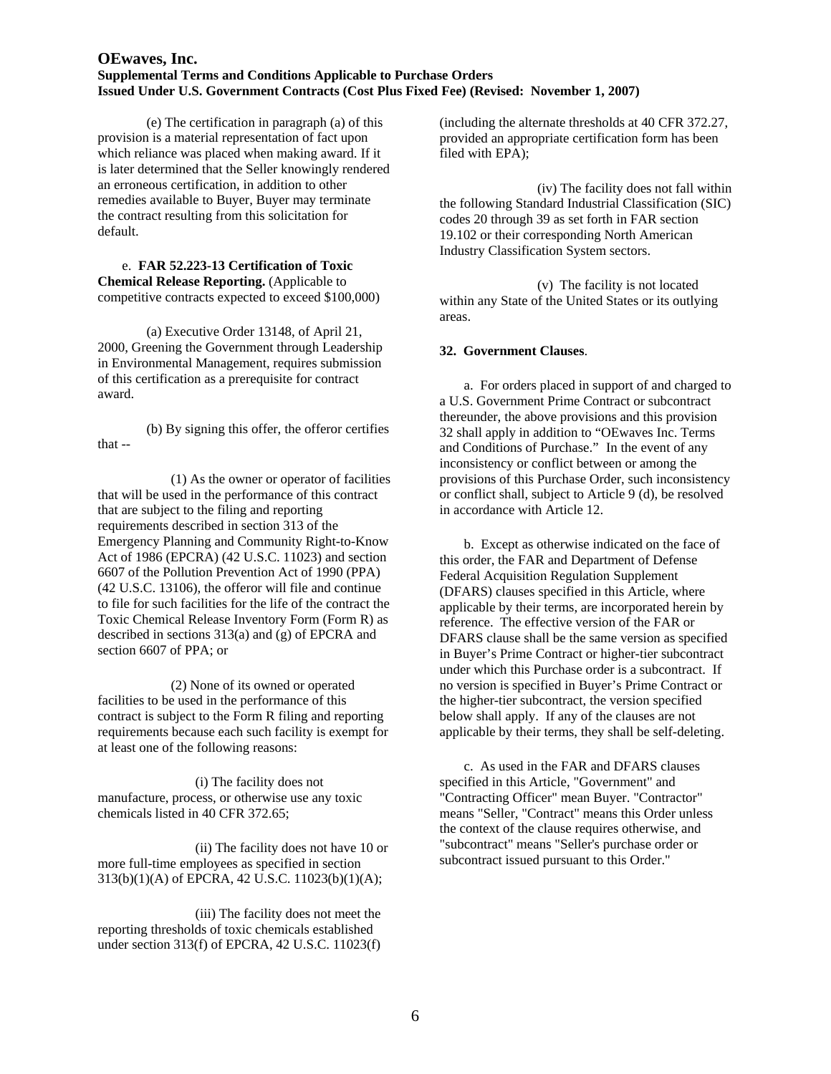(e) The certification in paragraph (a) of this provision is a material representation of fact upon which reliance was placed when making award. If it is later determined that the Seller knowingly rendered an erroneous certification, in addition to other remedies available to Buyer, Buyer may terminate the contract resulting from this solicitation for default.

 e. **FAR 52.223-13 Certification of Toxic Chemical Release Reporting.** (Applicable to competitive contracts expected to exceed \$100,000)

(a) Executive Order 13148, of April 21, 2000, Greening the Government through Leadership in Environmental Management, requires submission of this certification as a prerequisite for contract award.

(b) By signing this offer, the offeror certifies that --

(1) As the owner or operator of facilities that will be used in the performance of this contract that are subject to the filing and reporting requirements described in section 313 of the Emergency Planning and Community Right-to-Know Act of 1986 (EPCRA) (42 U.S.C. 11023) and section 6607 of the Pollution Prevention Act of 1990 (PPA) (42 U.S.C. 13106), the offeror will file and continue to file for such facilities for the life of the contract the Toxic Chemical Release Inventory Form (Form R) as described in sections 313(a) and (g) of EPCRA and section 6607 of PPA; or

(2) None of its owned or operated facilities to be used in the performance of this contract is subject to the Form R filing and reporting requirements because each such facility is exempt for at least one of the following reasons:

(i) The facility does not manufacture, process, or otherwise use any toxic chemicals listed in 40 CFR 372.65;

(ii) The facility does not have 10 or more full-time employees as specified in section 313(b)(1)(A) of EPCRA, 42 U.S.C. 11023(b)(1)(A);

(iii) The facility does not meet the reporting thresholds of toxic chemicals established under section 313(f) of EPCRA, 42 U.S.C. 11023(f) (including the alternate thresholds at 40 CFR 372.27, provided an appropriate certification form has been filed with EPA);

(iv) The facility does not fall within the following Standard Industrial Classification (SIC) codes 20 through 39 as set forth in FAR section 19.102 or their corresponding North American Industry Classification System sectors.

(v) The facility is not located within any State of the United States or its outlying areas.

#### **32. Government Clauses**.

a. For orders placed in support of and charged to a U.S. Government Prime Contract or subcontract thereunder, the above provisions and this provision 32 shall apply in addition to "OEwaves Inc. Terms and Conditions of Purchase." In the event of any inconsistency or conflict between or among the provisions of this Purchase Order, such inconsistency or conflict shall, subject to Article 9 (d), be resolved in accordance with Article 12.

b. Except as otherwise indicated on the face of this order, the FAR and Department of Defense Federal Acquisition Regulation Supplement (DFARS) clauses specified in this Article, where applicable by their terms, are incorporated herein by reference. The effective version of the FAR or DFARS clause shall be the same version as specified in Buyer's Prime Contract or higher-tier subcontract under which this Purchase order is a subcontract. If no version is specified in Buyer's Prime Contract or the higher-tier subcontract, the version specified below shall apply. If any of the clauses are not applicable by their terms, they shall be self-deleting.

c. As used in the FAR and DFARS clauses specified in this Article, "Government" and "Contracting Officer" mean Buyer. "Contractor" means "Seller, "Contract" means this Order unless the context of the clause requires otherwise, and "subcontract" means "Seller's purchase order or subcontract issued pursuant to this Order."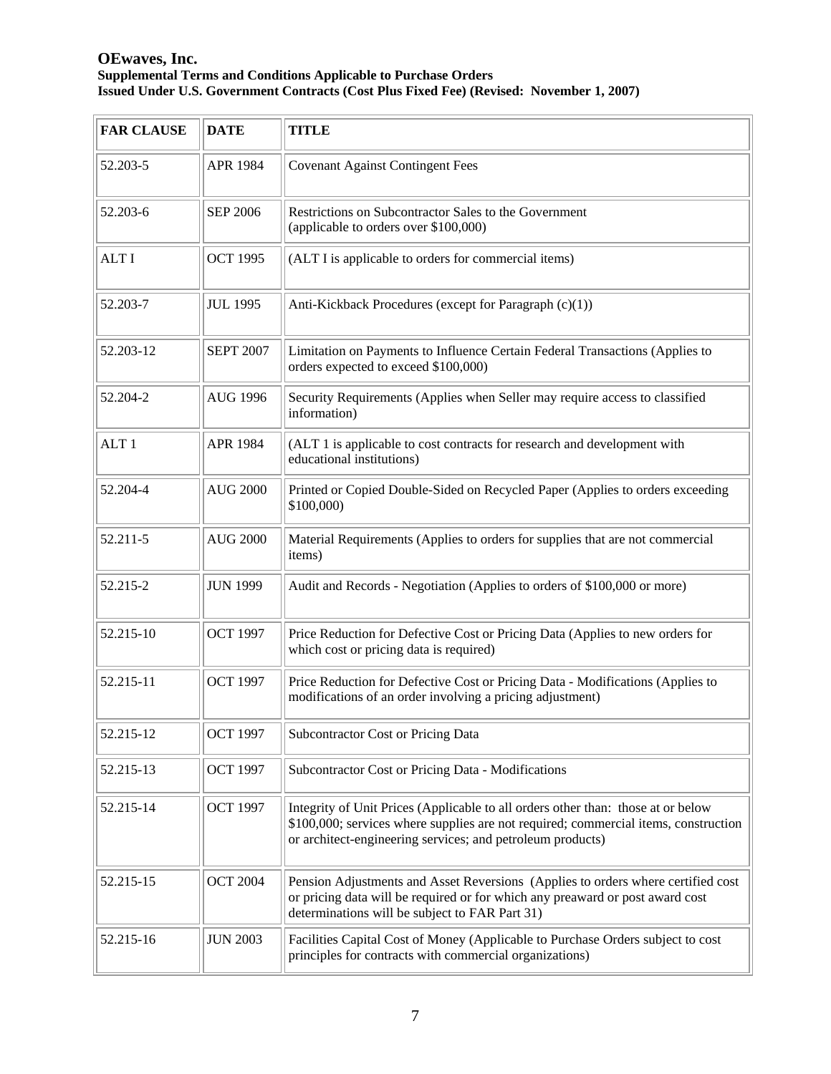| <b>FAR CLAUSE</b> | <b>DATE</b>      | <b>TITLE</b>                                                                                                                                                                                                                          |
|-------------------|------------------|---------------------------------------------------------------------------------------------------------------------------------------------------------------------------------------------------------------------------------------|
| 52.203-5          | APR 1984         | <b>Covenant Against Contingent Fees</b>                                                                                                                                                                                               |
| 52.203-6          | <b>SEP 2006</b>  | Restrictions on Subcontractor Sales to the Government<br>(applicable to orders over \$100,000)                                                                                                                                        |
| <b>ALTI</b>       | <b>OCT 1995</b>  | (ALT I is applicable to orders for commercial items)                                                                                                                                                                                  |
| 52.203-7          | <b>JUL 1995</b>  | Anti-Kickback Procedures (except for Paragraph (c)(1))                                                                                                                                                                                |
| 52.203-12         | <b>SEPT 2007</b> | Limitation on Payments to Influence Certain Federal Transactions (Applies to<br>orders expected to exceed \$100,000)                                                                                                                  |
| 52.204-2          | <b>AUG 1996</b>  | Security Requirements (Applies when Seller may require access to classified<br>information)                                                                                                                                           |
| ALT <sub>1</sub>  | <b>APR 1984</b>  | (ALT 1 is applicable to cost contracts for research and development with<br>educational institutions)                                                                                                                                 |
| 52.204-4          | <b>AUG 2000</b>  | Printed or Copied Double-Sided on Recycled Paper (Applies to orders exceeding<br>\$100,000)                                                                                                                                           |
| 52.211-5          | <b>AUG 2000</b>  | Material Requirements (Applies to orders for supplies that are not commercial<br>items)                                                                                                                                               |
| 52.215-2          | <b>JUN 1999</b>  | Audit and Records - Negotiation (Applies to orders of \$100,000 or more)                                                                                                                                                              |
| 52.215-10         | <b>OCT 1997</b>  | Price Reduction for Defective Cost or Pricing Data (Applies to new orders for<br>which cost or pricing data is required)                                                                                                              |
| 52.215-11         | <b>OCT 1997</b>  | Price Reduction for Defective Cost or Pricing Data - Modifications (Applies to<br>modifications of an order involving a pricing adjustment)                                                                                           |
| 52.215-12         | <b>OCT 1997</b>  | Subcontractor Cost or Pricing Data                                                                                                                                                                                                    |
| 52.215-13         | <b>OCT 1997</b>  | Subcontractor Cost or Pricing Data - Modifications                                                                                                                                                                                    |
| 52.215-14         | <b>OCT 1997</b>  | Integrity of Unit Prices (Applicable to all orders other than: those at or below<br>\$100,000; services where supplies are not required; commercial items, construction<br>or architect-engineering services; and petroleum products) |
| 52.215-15         | <b>OCT 2004</b>  | Pension Adjustments and Asset Reversions (Applies to orders where certified cost<br>or pricing data will be required or for which any preaward or post award cost<br>determinations will be subject to FAR Part 31)                   |
| 52.215-16         | <b>JUN 2003</b>  | Facilities Capital Cost of Money (Applicable to Purchase Orders subject to cost<br>principles for contracts with commercial organizations)                                                                                            |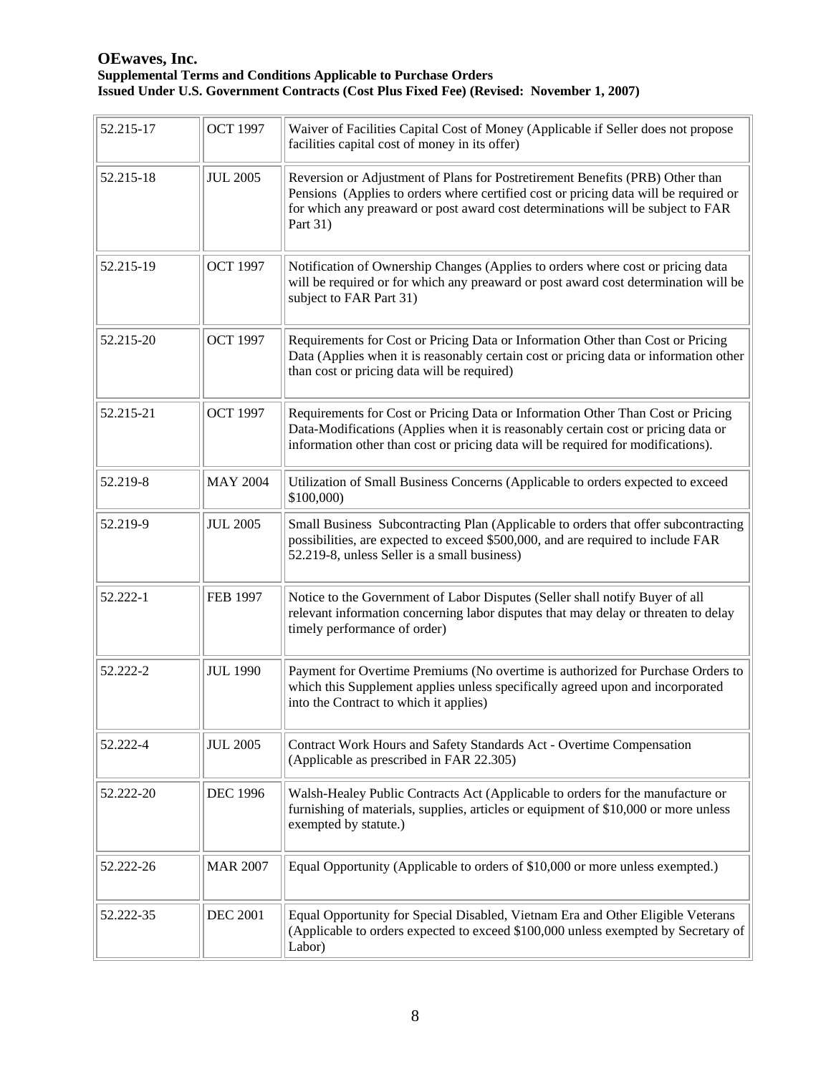| 52.215-17 | <b>OCT 1997</b> | Waiver of Facilities Capital Cost of Money (Applicable if Seller does not propose<br>facilities capital cost of money in its offer)                                                                                                                                  |
|-----------|-----------------|----------------------------------------------------------------------------------------------------------------------------------------------------------------------------------------------------------------------------------------------------------------------|
| 52.215-18 | <b>JUL 2005</b> | Reversion or Adjustment of Plans for Postretirement Benefits (PRB) Other than<br>Pensions (Applies to orders where certified cost or pricing data will be required or<br>for which any preaward or post award cost determinations will be subject to FAR<br>Part 31) |
| 52.215-19 | <b>OCT 1997</b> | Notification of Ownership Changes (Applies to orders where cost or pricing data<br>will be required or for which any preaward or post award cost determination will be<br>subject to FAR Part 31)                                                                    |
| 52.215-20 | <b>OCT 1997</b> | Requirements for Cost or Pricing Data or Information Other than Cost or Pricing<br>Data (Applies when it is reasonably certain cost or pricing data or information other<br>than cost or pricing data will be required)                                              |
| 52.215-21 | <b>OCT 1997</b> | Requirements for Cost or Pricing Data or Information Other Than Cost or Pricing<br>Data-Modifications (Applies when it is reasonably certain cost or pricing data or<br>information other than cost or pricing data will be required for modifications).             |
| 52.219-8  | <b>MAY 2004</b> | Utilization of Small Business Concerns (Applicable to orders expected to exceed<br>\$100,000)                                                                                                                                                                        |
| 52.219-9  | <b>JUL 2005</b> | Small Business Subcontracting Plan (Applicable to orders that offer subcontracting<br>possibilities, are expected to exceed \$500,000, and are required to include FAR<br>52.219-8, unless Seller is a small business)                                               |
| 52.222-1  | <b>FEB 1997</b> | Notice to the Government of Labor Disputes (Seller shall notify Buyer of all<br>relevant information concerning labor disputes that may delay or threaten to delay<br>timely performance of order)                                                                   |
| 52.222-2  | <b>JUL 1990</b> | Payment for Overtime Premiums (No overtime is authorized for Purchase Orders to<br>which this Supplement applies unless specifically agreed upon and incorporated<br>into the Contract to which it applies)                                                          |
| 52.222-4  | <b>JUL 2005</b> | Contract Work Hours and Safety Standards Act - Overtime Compensation<br>(Applicable as prescribed in FAR 22.305)                                                                                                                                                     |
| 52.222-20 | <b>DEC 1996</b> | Walsh-Healey Public Contracts Act (Applicable to orders for the manufacture or<br>furnishing of materials, supplies, articles or equipment of \$10,000 or more unless<br>exempted by statute.)                                                                       |
| 52.222-26 | <b>MAR 2007</b> | Equal Opportunity (Applicable to orders of \$10,000 or more unless exempted.)                                                                                                                                                                                        |
| 52.222-35 | <b>DEC 2001</b> | Equal Opportunity for Special Disabled, Vietnam Era and Other Eligible Veterans<br>(Applicable to orders expected to exceed \$100,000 unless exempted by Secretary of<br>Labor)                                                                                      |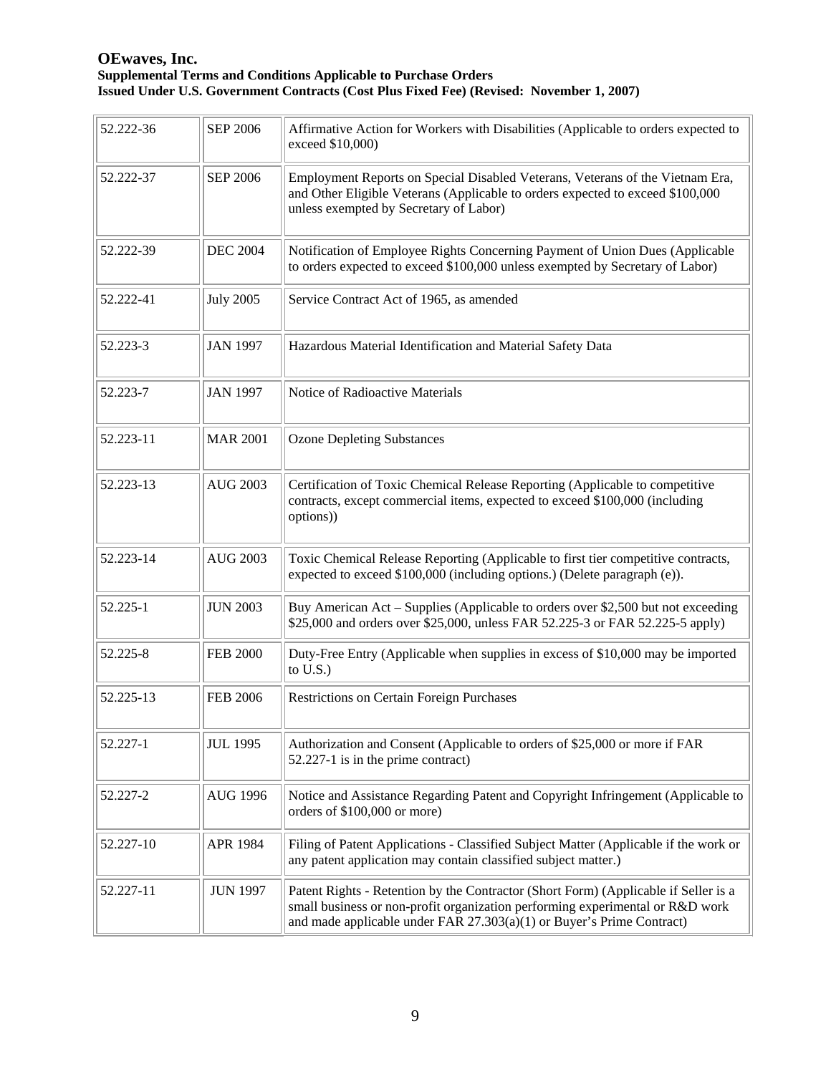| 52.222-36 | <b>SEP 2006</b>  | Affirmative Action for Workers with Disabilities (Applicable to orders expected to<br>exceed \$10,000)                                                                                                                                          |
|-----------|------------------|-------------------------------------------------------------------------------------------------------------------------------------------------------------------------------------------------------------------------------------------------|
| 52.222-37 | <b>SEP 2006</b>  | Employment Reports on Special Disabled Veterans, Veterans of the Vietnam Era,<br>and Other Eligible Veterans (Applicable to orders expected to exceed \$100,000<br>unless exempted by Secretary of Labor)                                       |
| 52.222-39 | <b>DEC 2004</b>  | Notification of Employee Rights Concerning Payment of Union Dues (Applicable<br>to orders expected to exceed \$100,000 unless exempted by Secretary of Labor)                                                                                   |
| 52.222-41 | <b>July 2005</b> | Service Contract Act of 1965, as amended                                                                                                                                                                                                        |
| 52.223-3  | <b>JAN 1997</b>  | Hazardous Material Identification and Material Safety Data                                                                                                                                                                                      |
| 52.223-7  | <b>JAN 1997</b>  | Notice of Radioactive Materials                                                                                                                                                                                                                 |
| 52.223-11 | <b>MAR 2001</b>  | <b>Ozone Depleting Substances</b>                                                                                                                                                                                                               |
| 52.223-13 | <b>AUG 2003</b>  | Certification of Toxic Chemical Release Reporting (Applicable to competitive<br>contracts, except commercial items, expected to exceed \$100,000 (including<br>options))                                                                        |
| 52.223-14 | <b>AUG 2003</b>  | Toxic Chemical Release Reporting (Applicable to first tier competitive contracts,<br>expected to exceed \$100,000 (including options.) (Delete paragraph (e)).                                                                                  |
| 52.225-1  | <b>JUN 2003</b>  | Buy American Act – Supplies (Applicable to orders over \$2,500 but not exceeding<br>\$25,000 and orders over \$25,000, unless FAR 52.225-3 or FAR 52.225-5 apply)                                                                               |
| 52.225-8  | <b>FEB 2000</b>  | Duty-Free Entry (Applicable when supplies in excess of \$10,000 may be imported<br>to $U.S.$ )                                                                                                                                                  |
| 52.225-13 | <b>FEB 2006</b>  | <b>Restrictions on Certain Foreign Purchases</b>                                                                                                                                                                                                |
| 52.227-1  | <b>JUL 1995</b>  | Authorization and Consent (Applicable to orders of \$25,000 or more if FAR<br>52.227-1 is in the prime contract)                                                                                                                                |
| 52.227-2  | <b>AUG 1996</b>  | Notice and Assistance Regarding Patent and Copyright Infringement (Applicable to<br>orders of \$100,000 or more)                                                                                                                                |
| 52.227-10 | <b>APR 1984</b>  | Filing of Patent Applications - Classified Subject Matter (Applicable if the work or<br>any patent application may contain classified subject matter.)                                                                                          |
| 52.227-11 | <b>JUN 1997</b>  | Patent Rights - Retention by the Contractor (Short Form) (Applicable if Seller is a<br>small business or non-profit organization performing experimental or R&D work<br>and made applicable under FAR $27.303(a)(1)$ or Buyer's Prime Contract) |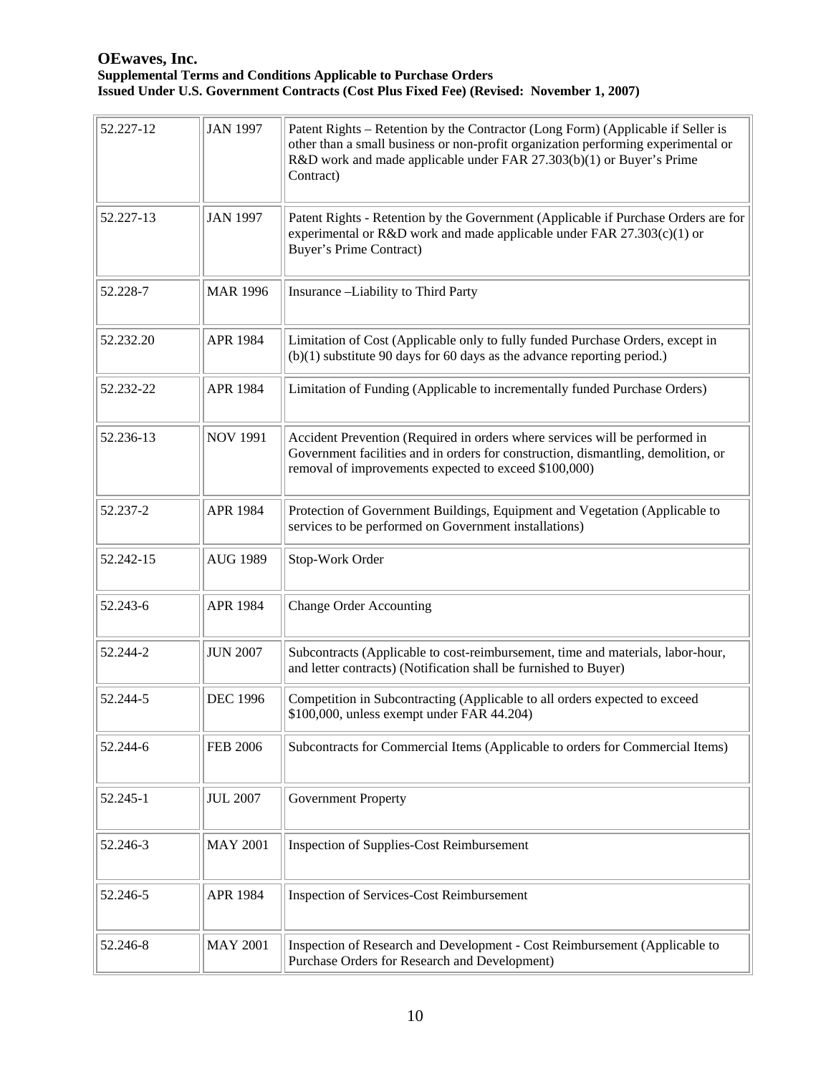| 52.227-12 | <b>JAN 1997</b> | Patent Rights – Retention by the Contractor (Long Form) (Applicable if Seller is<br>other than a small business or non-profit organization performing experimental or<br>R&D work and made applicable under FAR 27.303(b)(1) or Buyer's Prime<br>Contract) |
|-----------|-----------------|------------------------------------------------------------------------------------------------------------------------------------------------------------------------------------------------------------------------------------------------------------|
| 52.227-13 | <b>JAN 1997</b> | Patent Rights - Retention by the Government (Applicable if Purchase Orders are for<br>experimental or R&D work and made applicable under FAR $27.303(c)(1)$ or<br><b>Buyer's Prime Contract)</b>                                                           |
| 52.228-7  | <b>MAR 1996</b> | Insurance -Liability to Third Party                                                                                                                                                                                                                        |
| 52.232.20 | <b>APR 1984</b> | Limitation of Cost (Applicable only to fully funded Purchase Orders, except in<br>$(b)(1)$ substitute 90 days for 60 days as the advance reporting period.)                                                                                                |
| 52.232-22 | APR 1984        | Limitation of Funding (Applicable to incrementally funded Purchase Orders)                                                                                                                                                                                 |
| 52.236-13 | <b>NOV 1991</b> | Accident Prevention (Required in orders where services will be performed in<br>Government facilities and in orders for construction, dismantling, demolition, or<br>removal of improvements expected to exceed \$100,000)                                  |
| 52.237-2  | <b>APR 1984</b> | Protection of Government Buildings, Equipment and Vegetation (Applicable to<br>services to be performed on Government installations)                                                                                                                       |
| 52.242-15 | <b>AUG 1989</b> | Stop-Work Order                                                                                                                                                                                                                                            |
| 52.243-6  | <b>APR 1984</b> | <b>Change Order Accounting</b>                                                                                                                                                                                                                             |
| 52.244-2  | <b>JUN 2007</b> | Subcontracts (Applicable to cost-reimbursement, time and materials, labor-hour,<br>and letter contracts) (Notification shall be furnished to Buyer)                                                                                                        |
| 52.244-5  | <b>DEC 1996</b> | Competition in Subcontracting (Applicable to all orders expected to exceed<br>\$100,000, unless exempt under FAR 44.204)                                                                                                                                   |
| 52.244-6  | <b>FEB 2006</b> | Subcontracts for Commercial Items (Applicable to orders for Commercial Items)                                                                                                                                                                              |
| 52.245-1  | <b>JUL 2007</b> | <b>Government Property</b>                                                                                                                                                                                                                                 |
| 52.246-3  | <b>MAY 2001</b> | <b>Inspection of Supplies-Cost Reimbursement</b>                                                                                                                                                                                                           |
| 52.246-5  | APR 1984        | <b>Inspection of Services-Cost Reimbursement</b>                                                                                                                                                                                                           |
| 52.246-8  | <b>MAY 2001</b> | Inspection of Research and Development - Cost Reimbursement (Applicable to<br>Purchase Orders for Research and Development)                                                                                                                                |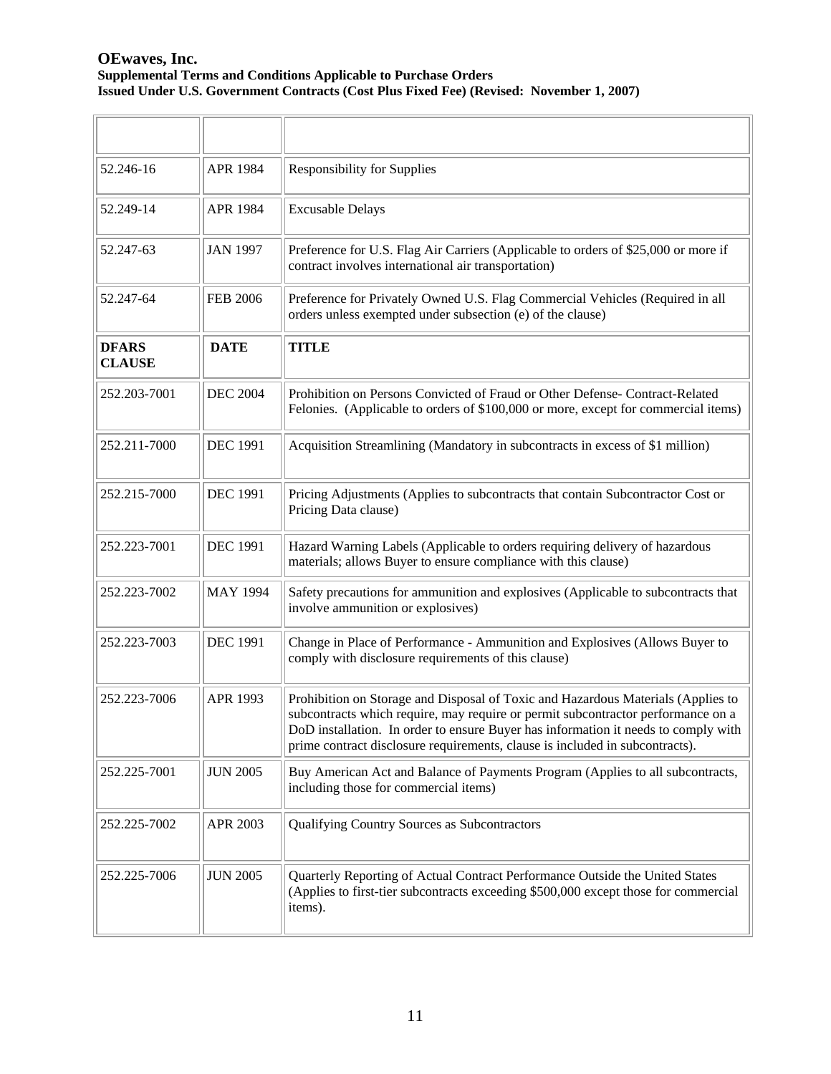| 52.246-16                     | <b>APR 1984</b> | <b>Responsibility for Supplies</b>                                                                                                                                                                                                                                                                                                         |
|-------------------------------|-----------------|--------------------------------------------------------------------------------------------------------------------------------------------------------------------------------------------------------------------------------------------------------------------------------------------------------------------------------------------|
| 52.249-14                     | APR 1984        | <b>Excusable Delays</b>                                                                                                                                                                                                                                                                                                                    |
| 52.247-63                     | <b>JAN 1997</b> | Preference for U.S. Flag Air Carriers (Applicable to orders of \$25,000 or more if<br>contract involves international air transportation)                                                                                                                                                                                                  |
| 52.247-64                     | <b>FEB 2006</b> | Preference for Privately Owned U.S. Flag Commercial Vehicles (Required in all<br>orders unless exempted under subsection (e) of the clause)                                                                                                                                                                                                |
| <b>DFARS</b><br><b>CLAUSE</b> | <b>DATE</b>     | <b>TITLE</b>                                                                                                                                                                                                                                                                                                                               |
| 252.203-7001                  | <b>DEC 2004</b> | Prohibition on Persons Convicted of Fraud or Other Defense- Contract-Related<br>Felonies. (Applicable to orders of \$100,000 or more, except for commercial items)                                                                                                                                                                         |
| 252.211-7000                  | <b>DEC 1991</b> | Acquisition Streamlining (Mandatory in subcontracts in excess of \$1 million)                                                                                                                                                                                                                                                              |
| 252.215-7000                  | <b>DEC 1991</b> | Pricing Adjustments (Applies to subcontracts that contain Subcontractor Cost or<br>Pricing Data clause)                                                                                                                                                                                                                                    |
| 252.223-7001                  | <b>DEC 1991</b> | Hazard Warning Labels (Applicable to orders requiring delivery of hazardous<br>materials; allows Buyer to ensure compliance with this clause)                                                                                                                                                                                              |
| 252.223-7002                  | <b>MAY 1994</b> | Safety precautions for ammunition and explosives (Applicable to subcontracts that<br>involve ammunition or explosives)                                                                                                                                                                                                                     |
| 252.223-7003                  | <b>DEC 1991</b> | Change in Place of Performance - Ammunition and Explosives (Allows Buyer to<br>comply with disclosure requirements of this clause)                                                                                                                                                                                                         |
| 252.223-7006                  | APR 1993        | Prohibition on Storage and Disposal of Toxic and Hazardous Materials (Applies to<br>subcontracts which require, may require or permit subcontractor performance on a<br>DoD installation. In order to ensure Buyer has information it needs to comply with<br>prime contract disclosure requirements, clause is included in subcontracts). |
| 252.225-7001                  | <b>JUN 2005</b> | Buy American Act and Balance of Payments Program (Applies to all subcontracts,<br>including those for commercial items)                                                                                                                                                                                                                    |
| 252.225-7002                  | <b>APR 2003</b> | Qualifying Country Sources as Subcontractors                                                                                                                                                                                                                                                                                               |
| 252.225-7006                  | <b>JUN 2005</b> | Quarterly Reporting of Actual Contract Performance Outside the United States<br>(Applies to first-tier subcontracts exceeding \$500,000 except those for commercial<br>items).                                                                                                                                                             |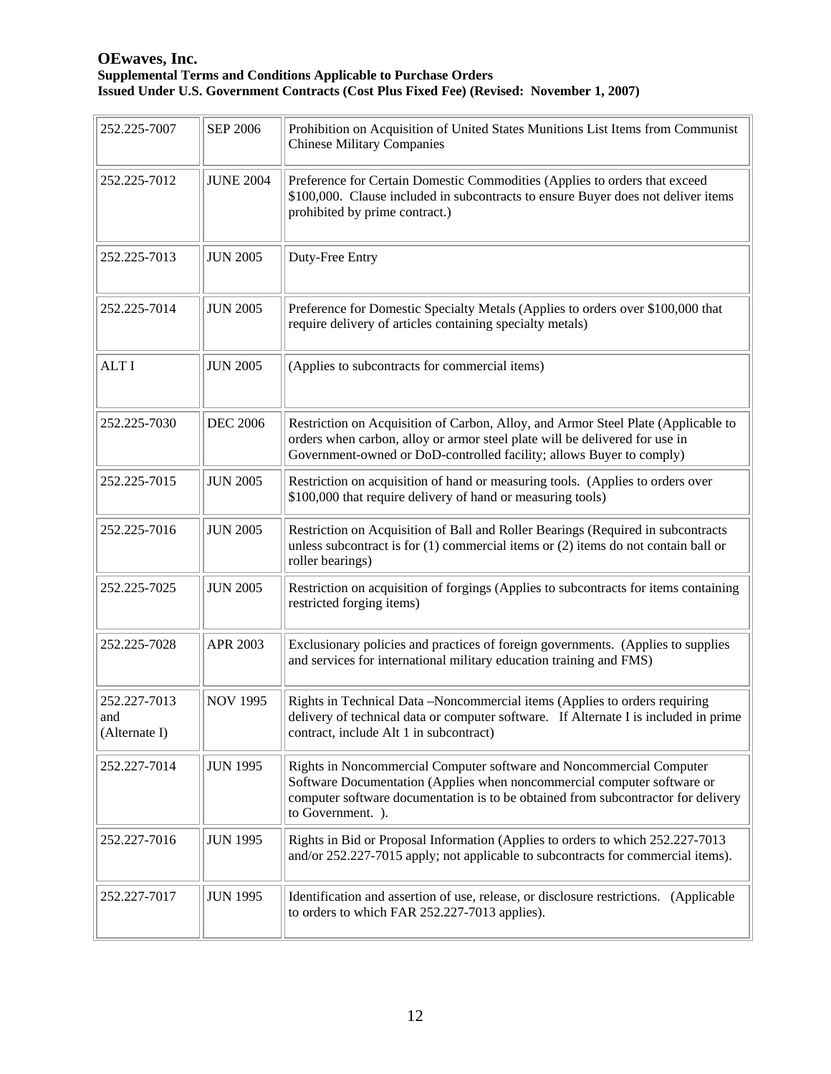| 252.225-7007                         | <b>SEP 2006</b>  | Prohibition on Acquisition of United States Munitions List Items from Communist<br><b>Chinese Military Companies</b>                                                                                                                                      |
|--------------------------------------|------------------|-----------------------------------------------------------------------------------------------------------------------------------------------------------------------------------------------------------------------------------------------------------|
| 252.225-7012                         | <b>JUNE 2004</b> | Preference for Certain Domestic Commodities (Applies to orders that exceed<br>\$100,000. Clause included in subcontracts to ensure Buyer does not deliver items<br>prohibited by prime contract.)                                                         |
| 252.225-7013                         | <b>JUN 2005</b>  | Duty-Free Entry                                                                                                                                                                                                                                           |
| 252.225-7014                         | <b>JUN 2005</b>  | Preference for Domestic Specialty Metals (Applies to orders over \$100,000 that<br>require delivery of articles containing specialty metals)                                                                                                              |
| <b>ALTI</b>                          | <b>JUN 2005</b>  | (Applies to subcontracts for commercial items)                                                                                                                                                                                                            |
| 252.225-7030                         | <b>DEC 2006</b>  | Restriction on Acquisition of Carbon, Alloy, and Armor Steel Plate (Applicable to<br>orders when carbon, alloy or armor steel plate will be delivered for use in<br>Government-owned or DoD-controlled facility; allows Buyer to comply)                  |
| 252.225-7015                         | <b>JUN 2005</b>  | Restriction on acquisition of hand or measuring tools. (Applies to orders over<br>\$100,000 that require delivery of hand or measuring tools)                                                                                                             |
| 252.225-7016                         | <b>JUN 2005</b>  | Restriction on Acquisition of Ball and Roller Bearings (Required in subcontracts<br>unless subcontract is for $(1)$ commercial items or $(2)$ items do not contain ball or<br>roller bearings)                                                            |
| 252.225-7025                         | <b>JUN 2005</b>  | Restriction on acquisition of forgings (Applies to subcontracts for items containing<br>restricted forging items)                                                                                                                                         |
| 252.225-7028                         | APR 2003         | Exclusionary policies and practices of foreign governments. (Applies to supplies<br>and services for international military education training and FMS)                                                                                                   |
| 252.227-7013<br>and<br>(Alternate I) | <b>NOV 1995</b>  | Rights in Technical Data -Noncommercial items (Applies to orders requiring<br>delivery of technical data or computer software. If Alternate I is included in prime<br>contract, include Alt 1 in subcontract)                                             |
| 252.227-7014                         | <b>JUN 1995</b>  | Rights in Noncommercial Computer software and Noncommercial Computer<br>Software Documentation (Applies when noncommercial computer software or<br>computer software documentation is to be obtained from subcontractor for delivery<br>to Government. ). |
| 252.227-7016                         | <b>JUN 1995</b>  | Rights in Bid or Proposal Information (Applies to orders to which 252.227-7013<br>and/or 252.227-7015 apply; not applicable to subcontracts for commercial items).                                                                                        |
| 252.227-7017                         | <b>JUN 1995</b>  | Identification and assertion of use, release, or disclosure restrictions. (Applicable<br>to orders to which FAR 252.227-7013 applies).                                                                                                                    |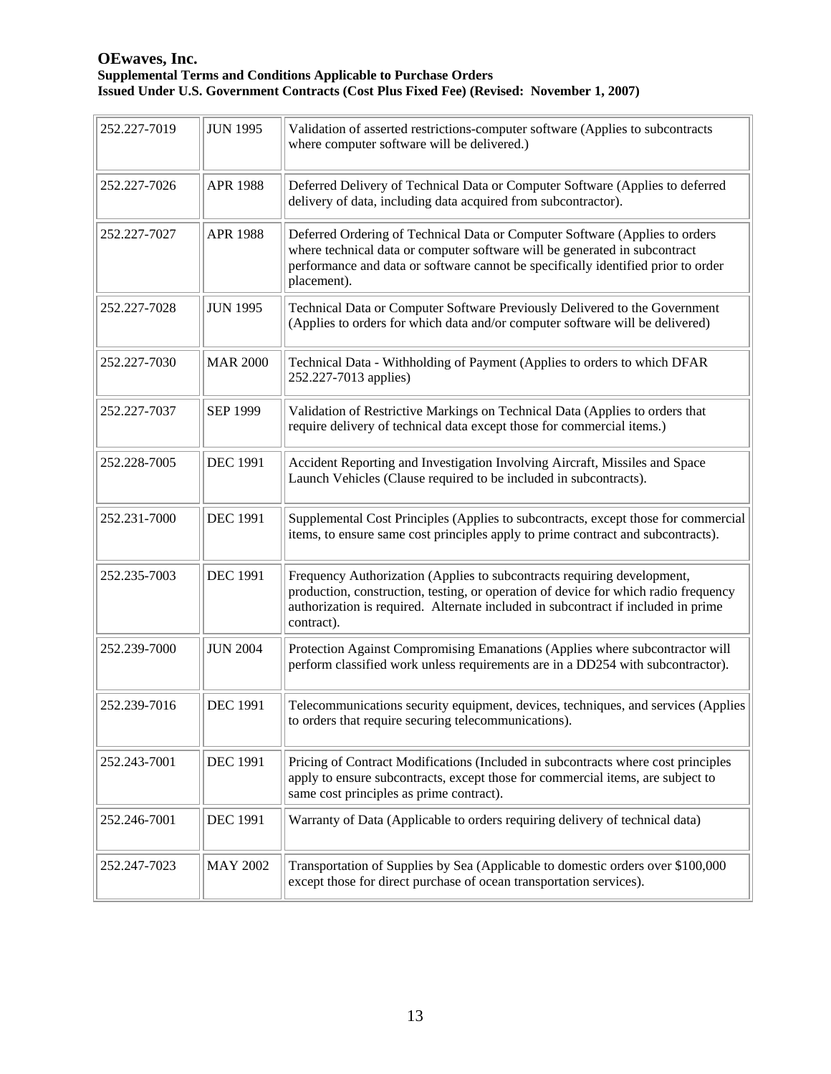| 252.227-7019 | <b>JUN 1995</b> | Validation of asserted restrictions-computer software (Applies to subcontracts<br>where computer software will be delivered.)                                                                                                                                     |
|--------------|-----------------|-------------------------------------------------------------------------------------------------------------------------------------------------------------------------------------------------------------------------------------------------------------------|
| 252.227-7026 | <b>APR 1988</b> | Deferred Delivery of Technical Data or Computer Software (Applies to deferred<br>delivery of data, including data acquired from subcontractor).                                                                                                                   |
| 252.227-7027 | <b>APR 1988</b> | Deferred Ordering of Technical Data or Computer Software (Applies to orders<br>where technical data or computer software will be generated in subcontract<br>performance and data or software cannot be specifically identified prior to order<br>placement).     |
| 252.227-7028 | <b>JUN 1995</b> | Technical Data or Computer Software Previously Delivered to the Government<br>(Applies to orders for which data and/or computer software will be delivered)                                                                                                       |
| 252.227-7030 | <b>MAR 2000</b> | Technical Data - Withholding of Payment (Applies to orders to which DFAR<br>252.227-7013 applies)                                                                                                                                                                 |
| 252.227-7037 | <b>SEP 1999</b> | Validation of Restrictive Markings on Technical Data (Applies to orders that<br>require delivery of technical data except those for commercial items.)                                                                                                            |
| 252.228-7005 | <b>DEC 1991</b> | Accident Reporting and Investigation Involving Aircraft, Missiles and Space<br>Launch Vehicles (Clause required to be included in subcontracts).                                                                                                                  |
| 252.231-7000 | <b>DEC 1991</b> | Supplemental Cost Principles (Applies to subcontracts, except those for commercial<br>items, to ensure same cost principles apply to prime contract and subcontracts).                                                                                            |
| 252.235-7003 | <b>DEC 1991</b> | Frequency Authorization (Applies to subcontracts requiring development,<br>production, construction, testing, or operation of device for which radio frequency<br>authorization is required. Alternate included in subcontract if included in prime<br>contract). |
| 252.239-7000 | <b>JUN 2004</b> | Protection Against Compromising Emanations (Applies where subcontractor will<br>perform classified work unless requirements are in a DD254 with subcontractor).                                                                                                   |
| 252.239-7016 | <b>DEC 1991</b> | Telecommunications security equipment, devices, techniques, and services (Applies<br>to orders that require securing telecommunications).                                                                                                                         |
| 252.243-7001 | <b>DEC 1991</b> | Pricing of Contract Modifications (Included in subcontracts where cost principles<br>apply to ensure subcontracts, except those for commercial items, are subject to<br>same cost principles as prime contract).                                                  |
| 252.246-7001 | <b>DEC 1991</b> | Warranty of Data (Applicable to orders requiring delivery of technical data)                                                                                                                                                                                      |
| 252.247-7023 | <b>MAY 2002</b> | Transportation of Supplies by Sea (Applicable to domestic orders over \$100,000<br>except those for direct purchase of ocean transportation services).                                                                                                            |